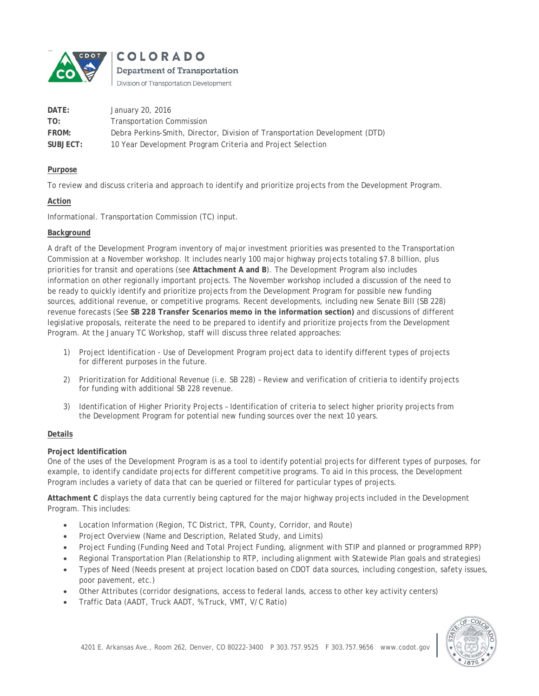

**COLORADO** 

Department of Transportation

Division of Transportation Development

| DATE:    | January 20, 2016                                                            |
|----------|-----------------------------------------------------------------------------|
| TO:      | <b>Transportation Commission</b>                                            |
| FROM:    | Debra Perkins-Smith, Director, Division of Transportation Development (DTD) |
| SUBJECT: | 10 Year Development Program Criteria and Project Selection                  |

## **Purpose**

To review and discuss criteria and approach to identify and prioritize projects from the Development Program.

# **Action**

Informational. Transportation Commission (TC) input.

# **Background**

A draft of the Development Program inventory of major investment priorities was presented to the Transportation Commission at a November workshop. It includes nearly 100 major highway projects totaling \$7.8 billion, plus priorities for transit and operations (see **Attachment A and B**). The Development Program also includes information on other regionally important projects. The November workshop included a discussion of the need to be ready to quickly identify and prioritize projects from the Development Program for possible new funding sources, additional revenue, or competitive programs. Recent developments, including new Senate Bill (SB 228) revenue forecasts (See **SB 228 Transfer Scenarios memo in the information section)** and discussions of different legislative proposals, reiterate the need to be prepared to identify and prioritize projects from the Development Program. At the January TC Workshop, staff will discuss three related approaches:

- 1) Project Identification Use of Development Program project data to identify different types of projects for different purposes in the future.
- 2) Prioritization for Additional Revenue (i.e. SB 228) Review and verification of critieria to identify projects for funding with additional SB 228 revenue.
- 3) Identification of Higher Priority Projects Identification of criteria to select higher priority projects from the Development Program for potential new funding sources over the next 10 years.

### **Details**

### **Project Identification**

One of the uses of the Development Program is as a tool to identify potential projects for different types of purposes, for example, to identify candidate projects for different competitive programs. To aid in this process, the Development Program includes a variety of data that can be queried or filtered for particular types of projects.

**Attachment C** displays the data currently being captured for the major highway projects included in the Development Program. This includes:

- Location Information (Region, TC District, TPR, County, Corridor, and Route)
- Project Overview (Name and Description, Related Study, and Limits)
- Project Funding (Funding Need and Total Project Funding, alignment with STIP and planned or programmed RPP)
- Regional Transportation Plan (Relationship to RTP, including alignment with Statewide Plan goals and strategies)
- Types of Need (Needs present at project location based on CDOT data sources, including congestion, safety issues, poor pavement, etc.)
- Other Attributes (corridor designations, access to federal lands, access to other key activity centers)
- Traffic Data (AADT, Truck AADT, % Truck, VMT, V/C Ratio)

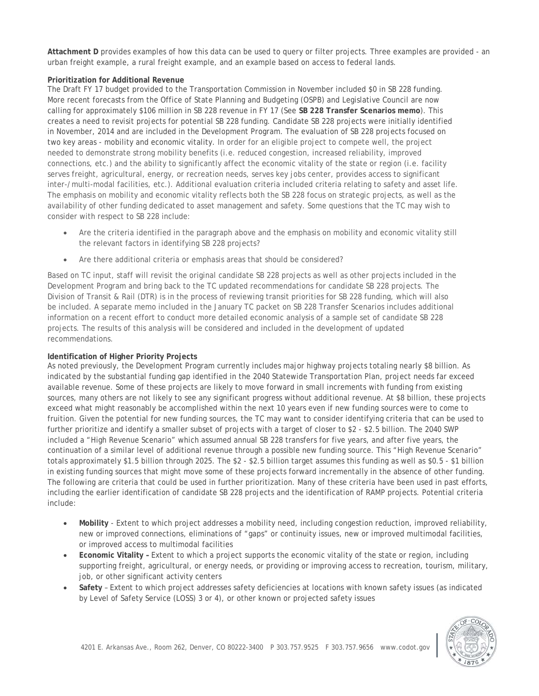**Attachment D** provides examples of how this data can be used to query or filter projects. Three examples are provided - an urban freight example, a rural freight example, and an example based on access to federal lands.

# **Prioritization for Additional Revenue**

The Draft FY 17 budget provided to the Transportation Commission in November included \$0 in SB 228 funding. More recent forecasts from the Office of State Planning and Budgeting (OSPB) and Legislative Council are now calling for approximately \$106 million in SB 228 revenue in FY 17 (See **SB 228 Transfer Scenarios memo**). This creates a need to revisit projects for potential SB 228 funding. Candidate SB 228 projects were initially identified in November, 2014 and are included in the Development Program. The evaluation of SB 228 projects focused on two key areas - mobility and economic vitality. In order for an eligible project to compete well, the project needed to demonstrate strong mobility benefits (i.e. reduced congestion, increased reliability, improved connections, etc.) and the ability to significantly affect the economic vitality of the state or region (i.e. facility serves freight, agricultural, energy, or recreation needs, serves key jobs center, provides access to significant inter-/multi-modal facilities, etc.). Additional evaluation criteria included criteria relating to safety and asset life. The emphasis on mobility and economic vitality reflects both the SB 228 focus on strategic projects, as well as the availability of other funding dedicated to asset management and safety. Some questions that the TC may wish to consider with respect to SB 228 include:

- Are the criteria identified in the paragraph above and the emphasis on mobility and economic vitality still the relevant factors in identifying SB 228 projects?
- Are there additional criteria or emphasis areas that should be considered?

Based on TC input, staff will revisit the original candidate SB 228 projects as well as other projects included in the Development Program and bring back to the TC updated recommendations for candidate SB 228 projects. The Division of Transit & Rail (DTR) is in the process of reviewing transit priorities for SB 228 funding, which will also be included. A separate memo included in the January TC packet on SB 228 Transfer Scenarios includes additional information on a recent effort to conduct more detailed economic analysis of a sample set of candidate SB 228 projects. The results of this analysis will be considered and included in the development of updated recommendations.

### **Identification of Higher Priority Projects**

As noted previously, the Development Program currently includes major highway projects totaling nearly \$8 billion. As indicated by the substantial funding gap identified in the 2040 Statewide Transportation Plan, project needs far exceed available revenue. Some of these projects are likely to move forward in small increments with funding from existing sources, many others are not likely to see any significant progress without additional revenue. At \$8 billion, these projects exceed what might reasonably be accomplished within the next 10 years even if new funding sources were to come to fruition. Given the potential for new funding sources, the TC may want to consider identifying criteria that can be used to further prioritize and identify a smaller subset of projects with a target of closer to \$2 - \$2.5 billion. The 2040 SWP included a "High Revenue Scenario" which assumed annual SB 228 transfers for five years, and after five years, the continuation of a similar level of additional revenue through a possible new funding source. This "High Revenue Scenario" totals approximately \$1.5 billion through 2025. The \$2 - \$2.5 billion target assumes this funding as well as \$0.5 - \$1 billion in existing funding sources that might move some of these projects forward incrementally in the absence of other funding. The following are criteria that could be used in further prioritization. Many of these criteria have been used in past efforts, including the earlier identification of candidate SB 228 projects and the identification of RAMP projects. Potential criteria include:

- **Mobility**  Extent to which project addresses a mobility need, including congestion reduction, improved reliability, new or improved connections, eliminations of "gaps" or continuity issues, new or improved multimodal facilities, or improved access to multimodal facilities
- **Economic Vitality** Extent to which a project supports the economic vitality of the state or region, including supporting freight, agricultural, or energy needs, or providing or improving access to recreation, tourism, military, job, or other significant activity centers
- **Safety** Extent to which project addresses safety deficiencies at locations with known safety issues (as indicated by Level of Safety Service (LOSS) 3 or 4), or other known or projected safety issues